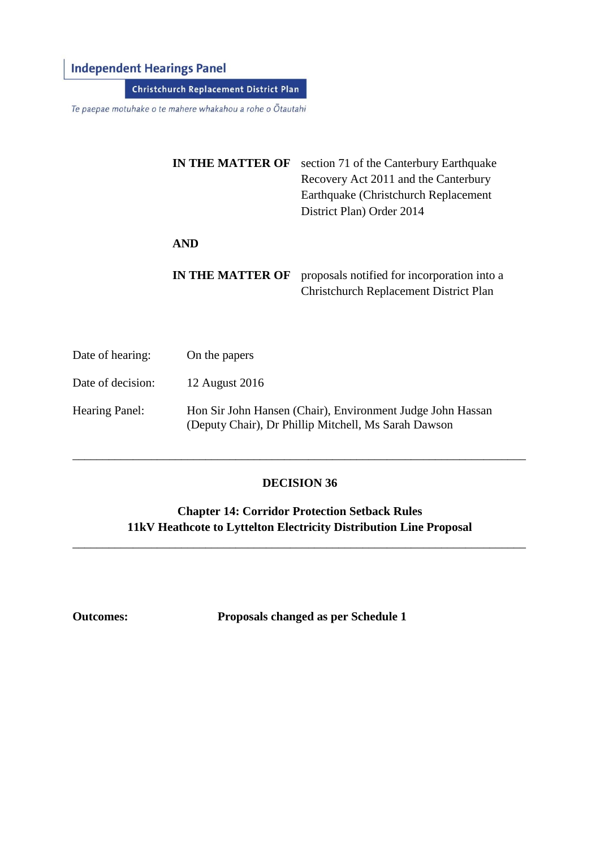## **Independent Hearings Panel**

**Christchurch Replacement District Plan** 

Te paepae motuhake o te mahere whakahou a rohe o Ōtautahi

| <b>IN THE MATTER OF</b> | section 71 of the Canterbury Earthquake<br>Recovery Act 2011 and the Canterbury<br>Earthquake (Christchurch Replacement)<br>District Plan) Order 2014 |
|-------------------------|-------------------------------------------------------------------------------------------------------------------------------------------------------|
| <b>AND</b>              |                                                                                                                                                       |
| <b>IN THE MATTER OF</b> | proposals notified for incorporation into a<br><b>Christchurch Replacement District Plan</b>                                                          |

| Date of hearing:      | On the papers                                                                                                      |
|-----------------------|--------------------------------------------------------------------------------------------------------------------|
| Date of decision:     | 12 August 2016                                                                                                     |
| <b>Hearing Panel:</b> | Hon Sir John Hansen (Chair), Environment Judge John Hassan<br>(Deputy Chair), Dr Phillip Mitchell, Ms Sarah Dawson |

#### **DECISION 36**

\_\_\_\_\_\_\_\_\_\_\_\_\_\_\_\_\_\_\_\_\_\_\_\_\_\_\_\_\_\_\_\_\_\_\_\_\_\_\_\_\_\_\_\_\_\_\_\_\_\_\_\_\_\_\_\_\_\_\_\_\_\_\_\_\_\_\_\_\_\_\_\_\_\_\_

**Chapter 14: Corridor Protection Setback Rules 11kV Heathcote to Lyttelton Electricity Distribution Line Proposal**

\_\_\_\_\_\_\_\_\_\_\_\_\_\_\_\_\_\_\_\_\_\_\_\_\_\_\_\_\_\_\_\_\_\_\_\_\_\_\_\_\_\_\_\_\_\_\_\_\_\_\_\_\_\_\_\_\_\_\_\_\_\_\_\_\_\_\_\_\_\_\_\_\_\_\_

**Outcomes: Proposals changed as per Schedule 1**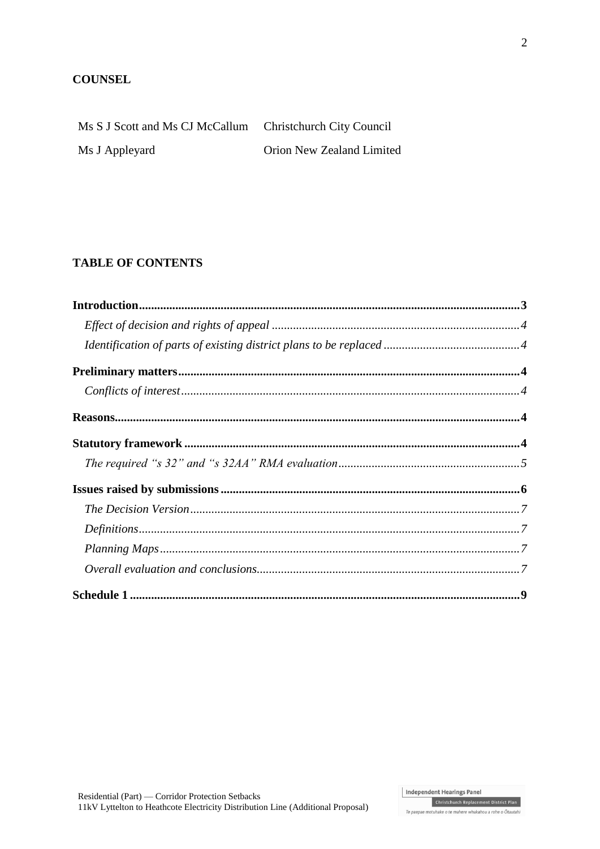#### **COUNSEL**

| Ms S J Scott and Ms CJ McCallum Christchurch City Council |                           |
|-----------------------------------------------------------|---------------------------|
| Ms J Appleyard                                            | Orion New Zealand Limited |

### **TABLE OF CONTENTS**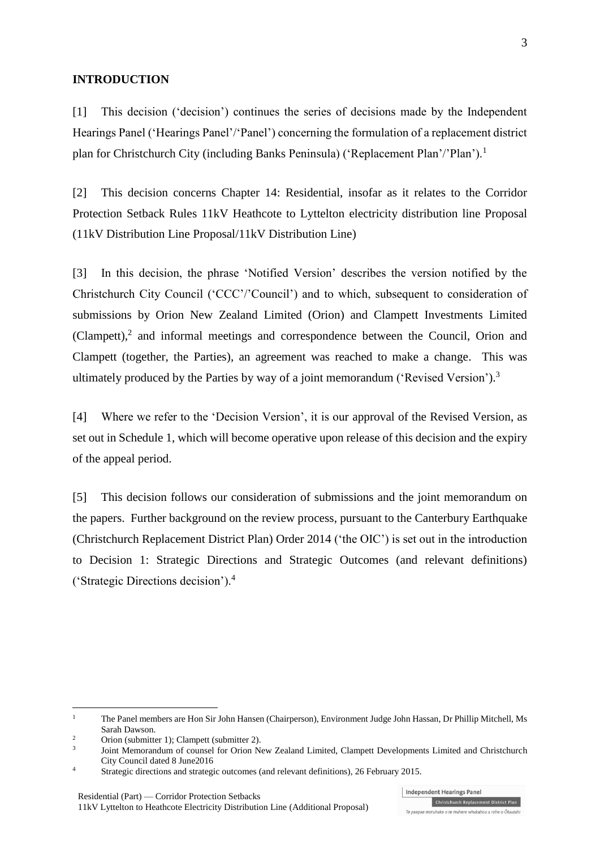#### **INTRODUCTION**

[1] This decision ('decision') continues the series of decisions made by the Independent Hearings Panel ('Hearings Panel'/'Panel') concerning the formulation of a replacement district plan for Christchurch City (including Banks Peninsula) ('Replacement Plan'/'Plan').<sup>1</sup>

[2] This decision concerns Chapter 14: Residential, insofar as it relates to the Corridor Protection Setback Rules 11kV Heathcote to Lyttelton electricity distribution line Proposal (11kV Distribution Line Proposal/11kV Distribution Line)

[3] In this decision, the phrase 'Notified Version' describes the version notified by the Christchurch City Council ('CCC'/'Council') and to which, subsequent to consideration of submissions by Orion New Zealand Limited (Orion) and Clampett Investments Limited (Clampett), 2 and informal meetings and correspondence between the Council, Orion and Clampett (together, the Parties), an agreement was reached to make a change. This was ultimately produced by the Parties by way of a joint memorandum ('Revised Version').<sup>3</sup>

[4] Where we refer to the 'Decision Version', it is our approval of the Revised Version, as set out in Schedule 1, which will become operative upon release of this decision and the expiry of the appeal period.

[5] This decision follows our consideration of submissions and the joint memorandum on the papers. Further background on the review process, pursuant to the Canterbury Earthquake (Christchurch Replacement District Plan) Order 2014 ('the OIC') is set out in the introduction to Decision 1: Strategic Directions and Strategic Outcomes (and relevant definitions) ('Strategic Directions decision').<sup>4</sup>

1

<sup>&</sup>lt;sup>1</sup> The Panel members are Hon Sir John Hansen (Chairperson), Environment Judge John Hassan, Dr Phillip Mitchell, Ms Sarah Dawson.

<sup>&</sup>lt;sup>2</sup> Orion (submitter 1); Clampett (submitter 2).

<sup>3</sup> Joint Memorandum of counsel for Orion New Zealand Limited, Clampett Developments Limited and Christchurch City Council dated 8 June2016

<sup>4</sup> Strategic directions and strategic outcomes (and relevant definitions), 26 February 2015.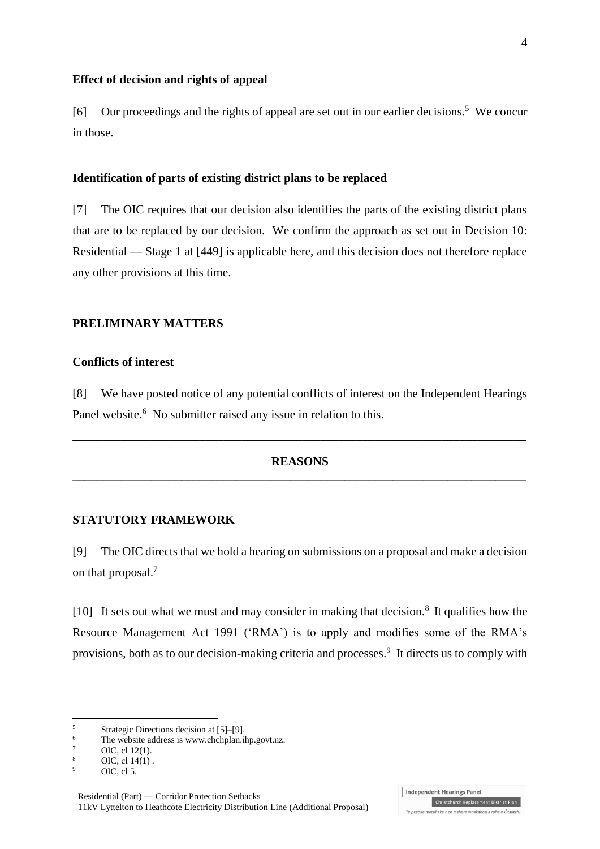#### **Effect of decision and rights of appeal**

[6] Our proceedings and the rights of appeal are set out in our earlier decisions.<sup>5</sup> We concur in those.

#### **Identification of parts of existing district plans to be replaced**

[7] The OIC requires that our decision also identifies the parts of the existing district plans that are to be replaced by our decision. We confirm the approach as set out in Decision 10: Residential — Stage 1 at [449] is applicable here, and this decision does not therefore replace any other provisions at this time.

#### **PRELIMINARY MATTERS**

#### **Conflicts of interest**

[8] We have posted notice of any potential conflicts of interest on the Independent Hearings Panel website.<sup>6</sup> No submitter raised any issue in relation to this.

#### **REASONS \_\_\_\_\_\_\_\_\_\_\_\_\_\_\_\_\_\_\_\_\_\_\_\_\_\_\_\_\_\_\_\_\_\_\_\_\_\_\_\_\_\_\_\_\_\_\_\_\_\_\_\_\_\_\_\_\_\_\_\_\_\_\_\_\_\_\_\_\_\_\_\_\_\_\_**

**\_\_\_\_\_\_\_\_\_\_\_\_\_\_\_\_\_\_\_\_\_\_\_\_\_\_\_\_\_\_\_\_\_\_\_\_\_\_\_\_\_\_\_\_\_\_\_\_\_\_\_\_\_\_\_\_\_\_\_\_\_\_\_\_\_\_\_\_\_\_\_\_\_\_\_**

#### **STATUTORY FRAMEWORK**

[9] The OIC directs that we hold a hearing on submissions on a proposal and make a decision on that proposal.<sup>7</sup>

[10] It sets out what we must and may consider in making that decision.<sup>8</sup> It qualifies how the Resource Management Act 1991 ('RMA') is to apply and modifies some of the RMA's provisions, both as to our decision-making criteria and processes.<sup>9</sup> It directs us to comply with

 $\frac{7}{8}$  OIC, cl 12(1).

1

 $5$  Strategic Directions decision at  $[5]$ –[9].

<sup>&</sup>lt;sup>6</sup> The website address is www.chchplan.ihp.govt.nz.<br> $\frac{7}{4}$  OC  $\frac{112(1)}{2}$ 

 $\frac{8}{9}$  OIC, cl 14(1).

OIC, cl 5.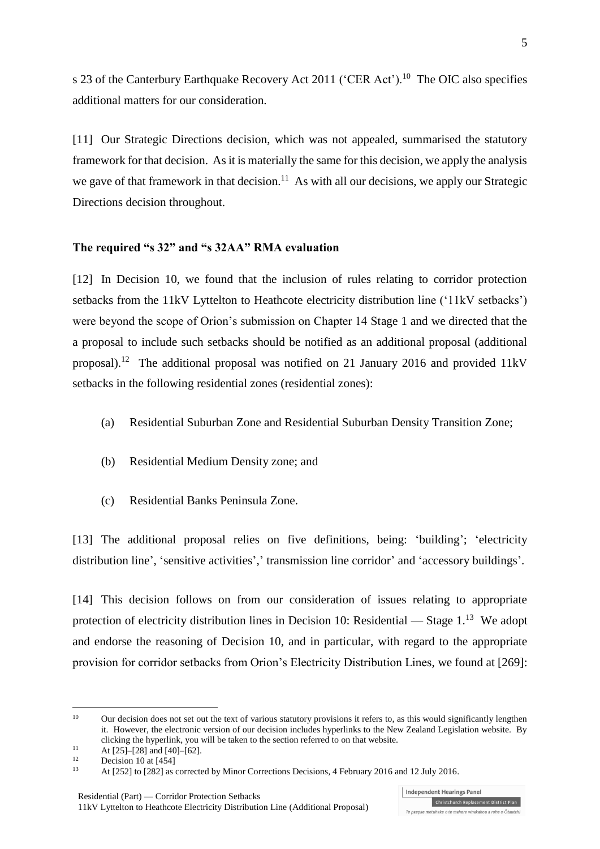s 23 of the Canterbury Earthquake Recovery Act 2011 ('CER Act').<sup>10</sup> The OIC also specifies additional matters for our consideration.

[11] Our Strategic Directions decision, which was not appealed, summarised the statutory framework for that decision. As it is materially the same for this decision, we apply the analysis we gave of that framework in that decision.<sup>11</sup> As with all our decisions, we apply our Strategic Directions decision throughout.

#### **The required "s 32" and "s 32AA" RMA evaluation**

[12] In Decision 10, we found that the inclusion of rules relating to corridor protection setbacks from the 11kV Lyttelton to Heathcote electricity distribution line ('11kV setbacks') were beyond the scope of Orion's submission on Chapter 14 Stage 1 and we directed that the a proposal to include such setbacks should be notified as an additional proposal (additional proposal).<sup>12</sup> The additional proposal was notified on 21 January 2016 and provided 11kV setbacks in the following residential zones (residential zones):

- (a) Residential Suburban Zone and Residential Suburban Density Transition Zone;
- (b) Residential Medium Density zone; and
- (c) Residential Banks Peninsula Zone.

[13] The additional proposal relies on five definitions, being: 'building'; 'electricity distribution line', 'sensitive activities',' transmission line corridor' and 'accessory buildings'.

[14] This decision follows on from our consideration of issues relating to appropriate protection of electricity distribution lines in Decision 10: Residential — Stage  $1<sup>13</sup>$  We adopt and endorse the reasoning of Decision 10, and in particular, with regard to the appropriate provision for corridor setbacks from Orion's Electricity Distribution Lines, we found at [269]:

1

<sup>&</sup>lt;sup>10</sup> Our decision does not set out the text of various statutory provisions it refers to, as this would significantly lengthen it. However, the electronic version of our decision includes hyperlinks to the New Zealand Legislation website. By clicking the hyperlink, you will be taken to the section referred to on that website.

<sup>&</sup>lt;sup>11</sup> At [25]–[28] and [40]–[62].

 $12$  Decision 10 at [454]

<sup>13</sup> At [252] to [282] as corrected by Minor Corrections Decisions, 4 February 2016 and 12 July 2016.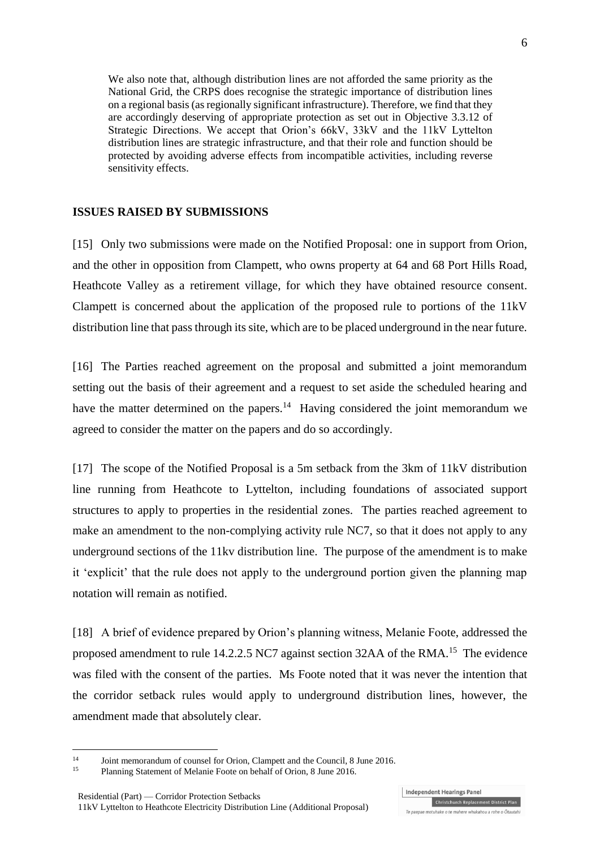We also note that, although distribution lines are not afforded the same priority as the National Grid, the CRPS does recognise the strategic importance of distribution lines on a regional basis (as regionally significant infrastructure). Therefore, we find that they are accordingly deserving of appropriate protection as set out in Objective 3.3.12 of Strategic Directions. We accept that Orion's 66kV, 33kV and the 11kV Lyttelton distribution lines are strategic infrastructure, and that their role and function should be protected by avoiding adverse effects from incompatible activities, including reverse sensitivity effects.

#### **ISSUES RAISED BY SUBMISSIONS**

[15] Only two submissions were made on the Notified Proposal: one in support from Orion, and the other in opposition from Clampett, who owns property at 64 and 68 Port Hills Road, Heathcote Valley as a retirement village, for which they have obtained resource consent. Clampett is concerned about the application of the proposed rule to portions of the 11kV distribution line that pass through its site, which are to be placed underground in the near future.

[16] The Parties reached agreement on the proposal and submitted a joint memorandum setting out the basis of their agreement and a request to set aside the scheduled hearing and have the matter determined on the papers.<sup>14</sup> Having considered the joint memorandum we agreed to consider the matter on the papers and do so accordingly.

[17] The scope of the Notified Proposal is a 5m setback from the 3km of 11kV distribution line running from Heathcote to Lyttelton, including foundations of associated support structures to apply to properties in the residential zones. The parties reached agreement to make an amendment to the non-complying activity rule NC7, so that it does not apply to any underground sections of the 11kv distribution line. The purpose of the amendment is to make it 'explicit' that the rule does not apply to the underground portion given the planning map notation will remain as notified.

[18] A brief of evidence prepared by Orion's planning witness, Melanie Foote, addressed the proposed amendment to rule 14.2.2.5 NC7 against section 32AA of the RMA.<sup>15</sup> The evidence was filed with the consent of the parties. Ms Foote noted that it was never the intention that the corridor setback rules would apply to underground distribution lines, however, the amendment made that absolutely clear.

 $14$ <sup>14</sup> Joint memorandum of counsel for Orion, Clampett and the Council, 8 June 2016.

<sup>15</sup> Planning Statement of Melanie Foote on behalf of Orion, 8 June 2016.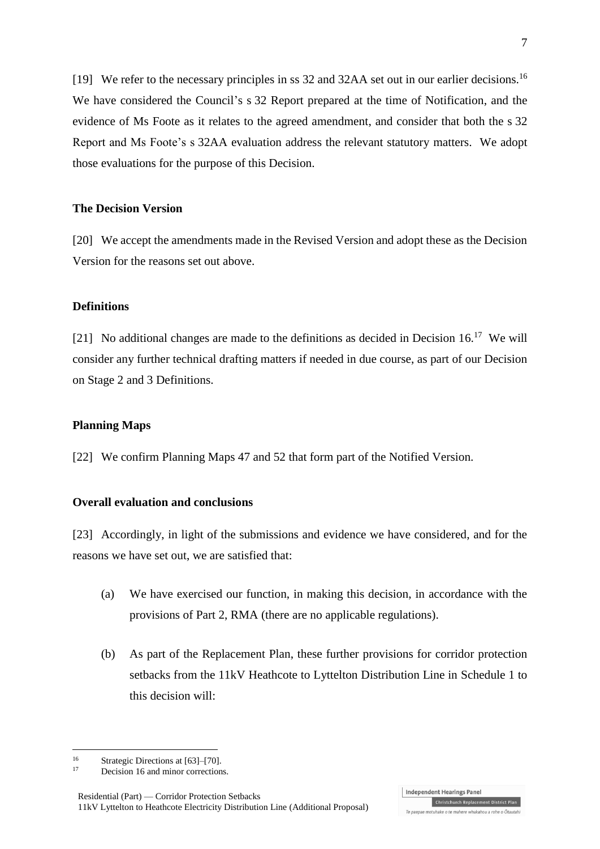[19] We refer to the necessary principles in ss 32 and 32AA set out in our earlier decisions.<sup>16</sup> We have considered the Council's s 32 Report prepared at the time of Notification, and the evidence of Ms Foote as it relates to the agreed amendment, and consider that both the s 32 Report and Ms Foote's s 32AA evaluation address the relevant statutory matters. We adopt those evaluations for the purpose of this Decision.

#### **The Decision Version**

[20] We accept the amendments made in the Revised Version and adopt these as the Decision Version for the reasons set out above.

#### **Definitions**

[21] No additional changes are made to the definitions as decided in Decision  $16<sup>17</sup>$  We will consider any further technical drafting matters if needed in due course, as part of our Decision on Stage 2 and 3 Definitions.

#### **Planning Maps**

[22] We confirm Planning Maps 47 and 52 that form part of the Notified Version.

#### **Overall evaluation and conclusions**

[23] Accordingly, in light of the submissions and evidence we have considered, and for the reasons we have set out, we are satisfied that:

- (a) We have exercised our function, in making this decision, in accordance with the provisions of Part 2, RMA (there are no applicable regulations).
- (b) As part of the Replacement Plan, these further provisions for corridor protection setbacks from the 11kV Heathcote to Lyttelton Distribution Line in Schedule 1 to this decision will:

<u>.</u>

<sup>&</sup>lt;sup>16</sup> Strategic Directions at  $[63]$ – $[70]$ .

Decision 16 and minor corrections.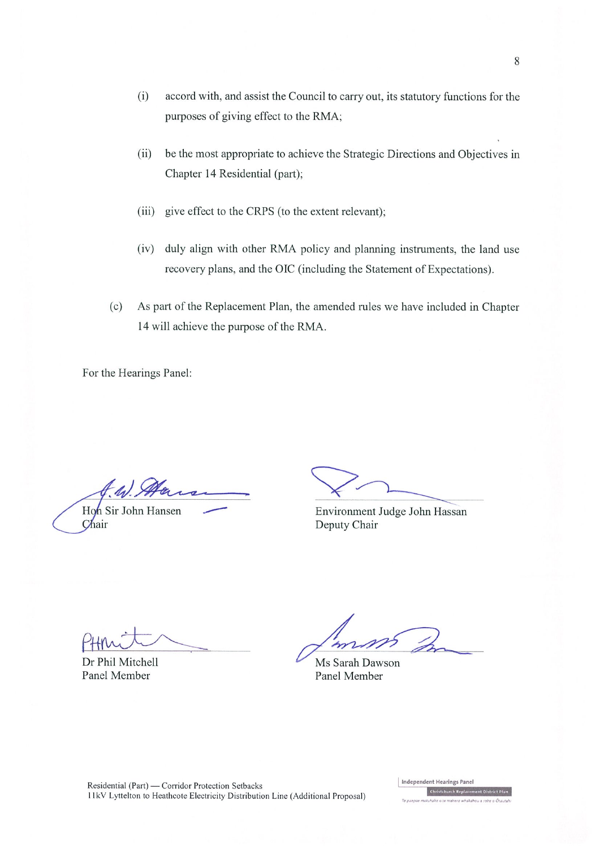- $(i)$ accord with, and assist the Council to carry out, its statutory functions for the purposes of giving effect to the RMA;
- be the most appropriate to achieve the Strategic Directions and Objectives in  $(ii)$ Chapter 14 Residential (part);
- (iii) give effect to the CRPS (to the extent relevant);
- duly align with other RMA policy and planning instruments, the land use  $(iv)$ recovery plans, and the OIC (including the Statement of Expectations).
- $(c)$ As part of the Replacement Plan, the amended rules we have included in Chapter 14 will achieve the purpose of the RMA.

For the Hearings Panel:

 $\frac{1}{2}$ 

Hon Sir John Hansen Chair

Environment Judge John Hassan Deputy Chair

Dr Phil Mitchell Panel Member

Ms Sarah Dawson Panel Member

Residential (Part) — Corridor Protection Setbacks 11kV Lyttelton to Heathcote Electricity Distribution Line (Additional Proposal) Independent Hearings Panel Christchurch Replacement District Plan

stuhake o te mahere whakahou a rohe o Ōtautah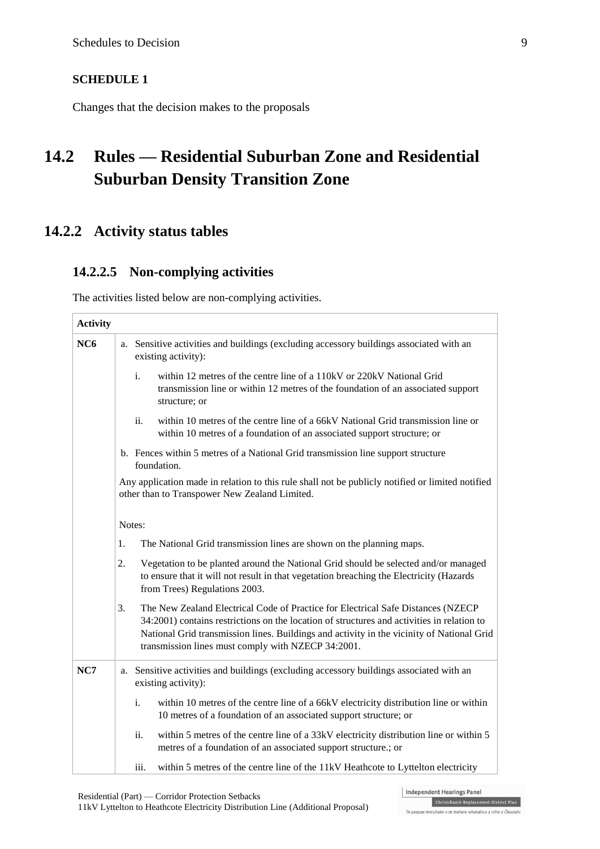#### **SCHEDULE 1**

Changes that the decision makes to the proposals

# **14.2 Rules — Residential Suburban Zone and Residential Suburban Density Transition Zone**

## **14.2.2 Activity status tables**

### **14.2.2.5 Non-complying activities**

The activities listed below are non-complying activities.

| <b>Activity</b> |                                                                                                                                                   |                                                                                                                |                                                                                                                                                                                                                                                                                                                                   |
|-----------------|---------------------------------------------------------------------------------------------------------------------------------------------------|----------------------------------------------------------------------------------------------------------------|-----------------------------------------------------------------------------------------------------------------------------------------------------------------------------------------------------------------------------------------------------------------------------------------------------------------------------------|
| NC6             |                                                                                                                                                   | a. Sensitive activities and buildings (excluding accessory buildings associated with an<br>existing activity): |                                                                                                                                                                                                                                                                                                                                   |
|                 |                                                                                                                                                   | i.                                                                                                             | within 12 metres of the centre line of a 110kV or 220kV National Grid<br>transmission line or within 12 metres of the foundation of an associated support<br>structure; or                                                                                                                                                        |
|                 |                                                                                                                                                   | ii.                                                                                                            | within 10 metres of the centre line of a 66kV National Grid transmission line or<br>within 10 metres of a foundation of an associated support structure; or                                                                                                                                                                       |
|                 |                                                                                                                                                   |                                                                                                                | b. Fences within 5 metres of a National Grid transmission line support structure<br>foundation.                                                                                                                                                                                                                                   |
|                 | Any application made in relation to this rule shall not be publicly notified or limited notified<br>other than to Transpower New Zealand Limited. |                                                                                                                |                                                                                                                                                                                                                                                                                                                                   |
|                 | Notes:                                                                                                                                            |                                                                                                                |                                                                                                                                                                                                                                                                                                                                   |
|                 | 1.                                                                                                                                                |                                                                                                                | The National Grid transmission lines are shown on the planning maps.                                                                                                                                                                                                                                                              |
|                 | 2.                                                                                                                                                |                                                                                                                | Vegetation to be planted around the National Grid should be selected and/or managed<br>to ensure that it will not result in that vegetation breaching the Electricity (Hazards<br>from Trees) Regulations 2003.                                                                                                                   |
|                 | 3.                                                                                                                                                |                                                                                                                | The New Zealand Electrical Code of Practice for Electrical Safe Distances (NZECP<br>34:2001) contains restrictions on the location of structures and activities in relation to<br>National Grid transmission lines. Buildings and activity in the vicinity of National Grid<br>transmission lines must comply with NZECP 34:2001. |
| NC7             |                                                                                                                                                   |                                                                                                                | a. Sensitive activities and buildings (excluding accessory buildings associated with an<br>existing activity):                                                                                                                                                                                                                    |
|                 |                                                                                                                                                   | i.                                                                                                             | within 10 metres of the centre line of a 66kV electricity distribution line or within<br>10 metres of a foundation of an associated support structure; or                                                                                                                                                                         |
|                 |                                                                                                                                                   | ii.                                                                                                            | within 5 metres of the centre line of a 33kV electricity distribution line or within 5<br>metres of a foundation of an associated support structure.; or                                                                                                                                                                          |
|                 |                                                                                                                                                   | iii.                                                                                                           | within 5 metres of the centre line of the 11kV Heathcote to Lyttelton electricity                                                                                                                                                                                                                                                 |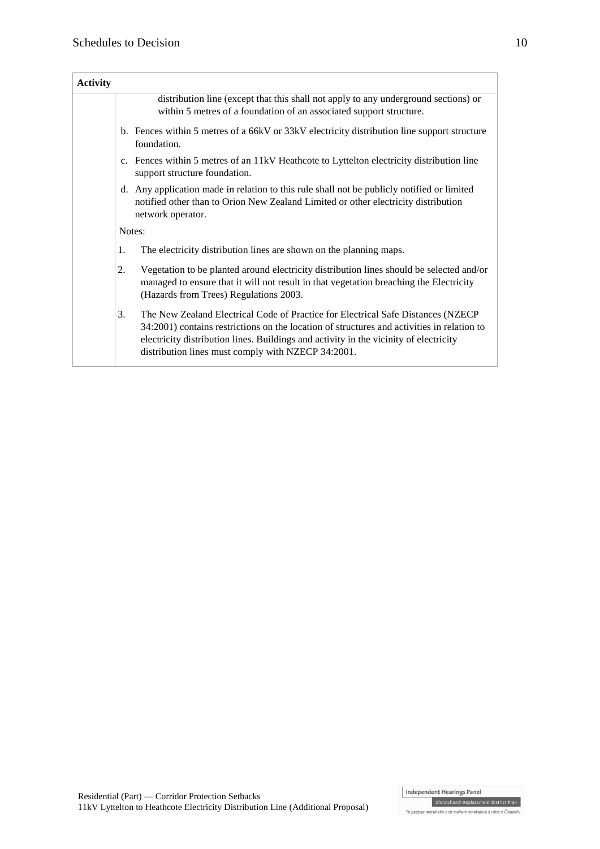| <b>Activity</b> |                                                                                                                                                                                                                                                                                                                                      |  |  |
|-----------------|--------------------------------------------------------------------------------------------------------------------------------------------------------------------------------------------------------------------------------------------------------------------------------------------------------------------------------------|--|--|
|                 | distribution line (except that this shall not apply to any underground sections) or<br>within 5 metres of a foundation of an associated support structure.                                                                                                                                                                           |  |  |
|                 | b. Fences within 5 metres of a 66kV or 33kV electricity distribution line support structure<br>foundation.                                                                                                                                                                                                                           |  |  |
|                 | c. Fences within 5 metres of an 11kV Heathcote to Lyttelton electricity distribution line<br>support structure foundation.                                                                                                                                                                                                           |  |  |
|                 | d. Any application made in relation to this rule shall not be publicly notified or limited<br>notified other than to Orion New Zealand Limited or other electricity distribution<br>network operator.                                                                                                                                |  |  |
|                 | Notes:                                                                                                                                                                                                                                                                                                                               |  |  |
|                 | 1.<br>The electricity distribution lines are shown on the planning maps.                                                                                                                                                                                                                                                             |  |  |
|                 | Vegetation to be planted around electricity distribution lines should be selected and/or<br>2.<br>managed to ensure that it will not result in that vegetation breaching the Electricity<br>(Hazards from Trees) Regulations 2003.                                                                                                   |  |  |
|                 | 3.<br>The New Zealand Electrical Code of Practice for Electrical Safe Distances (NZECP)<br>34:2001) contains restrictions on the location of structures and activities in relation to<br>electricity distribution lines. Buildings and activity in the vicinity of electricity<br>distribution lines must comply with NZECP 34:2001. |  |  |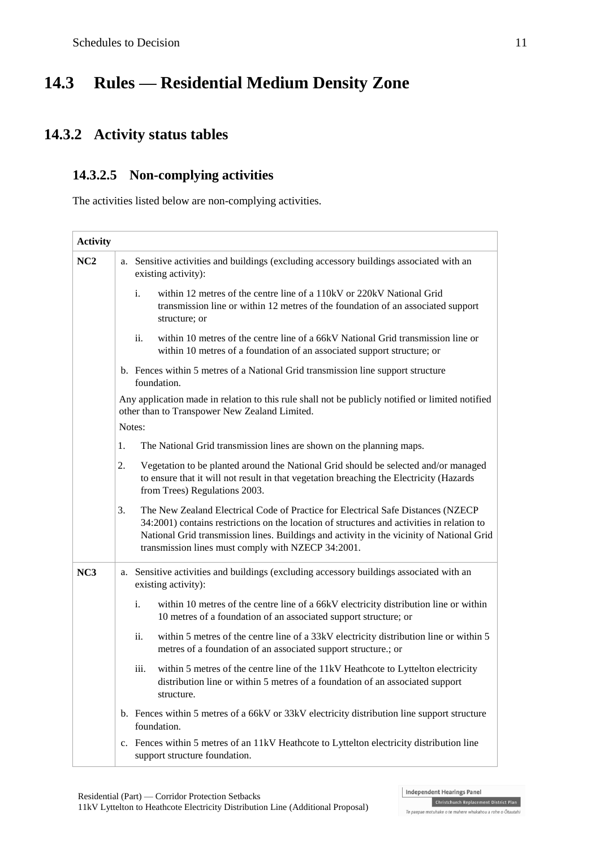# **14.3 Rules — Residential Medium Density Zone**

## **14.3.2 Activity status tables**

### **14.3.2.5 Non-complying activities**

The activities listed below are non-complying activities.

| <b>Activity</b> |                                                                                                                                                                                                                                                                                                                                          |
|-----------------|------------------------------------------------------------------------------------------------------------------------------------------------------------------------------------------------------------------------------------------------------------------------------------------------------------------------------------------|
| NC2             | a. Sensitive activities and buildings (excluding accessory buildings associated with an<br>existing activity):                                                                                                                                                                                                                           |
|                 | i.<br>within 12 metres of the centre line of a 110kV or 220kV National Grid<br>transmission line or within 12 metres of the foundation of an associated support<br>structure; or                                                                                                                                                         |
|                 | ii.<br>within 10 metres of the centre line of a 66kV National Grid transmission line or<br>within 10 metres of a foundation of an associated support structure; or                                                                                                                                                                       |
|                 | b. Fences within 5 metres of a National Grid transmission line support structure<br>foundation.                                                                                                                                                                                                                                          |
|                 | Any application made in relation to this rule shall not be publicly notified or limited notified<br>other than to Transpower New Zealand Limited.                                                                                                                                                                                        |
|                 | Notes:                                                                                                                                                                                                                                                                                                                                   |
|                 | 1.<br>The National Grid transmission lines are shown on the planning maps.                                                                                                                                                                                                                                                               |
|                 | Vegetation to be planted around the National Grid should be selected and/or managed<br>2.<br>to ensure that it will not result in that vegetation breaching the Electricity (Hazards<br>from Trees) Regulations 2003.                                                                                                                    |
|                 | 3.<br>The New Zealand Electrical Code of Practice for Electrical Safe Distances (NZECP)<br>34:2001) contains restrictions on the location of structures and activities in relation to<br>National Grid transmission lines. Buildings and activity in the vicinity of National Grid<br>transmission lines must comply with NZECP 34:2001. |
| NC3             | a. Sensitive activities and buildings (excluding accessory buildings associated with an<br>existing activity):                                                                                                                                                                                                                           |
|                 | $\mathbf{i}$ .<br>within 10 metres of the centre line of a 66kV electricity distribution line or within<br>10 metres of a foundation of an associated support structure; or                                                                                                                                                              |
|                 | within 5 metres of the centre line of a 33kV electricity distribution line or within 5<br>ii.<br>metres of a foundation of an associated support structure.; or                                                                                                                                                                          |
|                 | iii.<br>within 5 metres of the centre line of the 11kV Heathcote to Lyttelton electricity<br>distribution line or within 5 metres of a foundation of an associated support<br>structure.                                                                                                                                                 |
|                 | b. Fences within 5 metres of a 66kV or 33kV electricity distribution line support structure<br>foundation.                                                                                                                                                                                                                               |
|                 | c. Fences within 5 metres of an 11kV Heathcote to Lyttelton electricity distribution line<br>support structure foundation.                                                                                                                                                                                                               |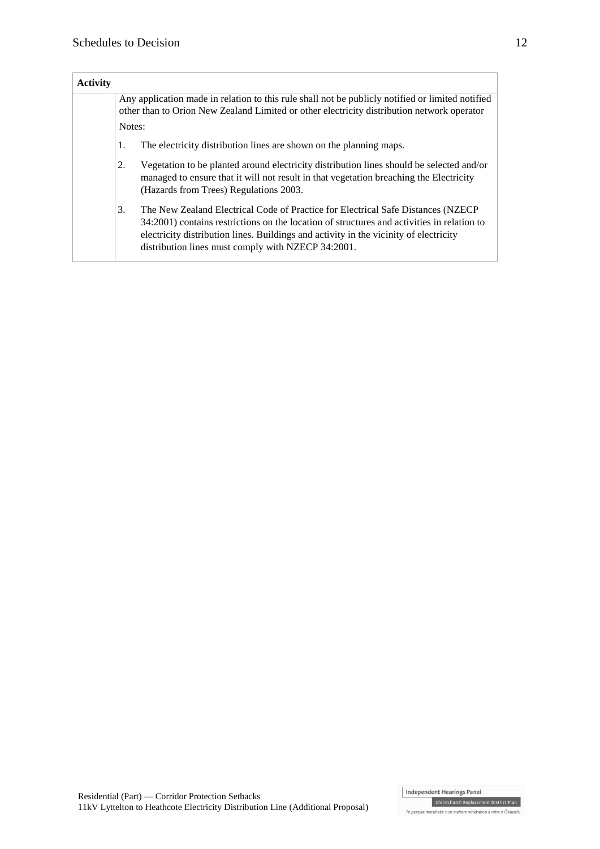| <b>Activity</b> |                                                                                                                                                                                                |                                                                                                                                                                                                                                                                                                                                |  |
|-----------------|------------------------------------------------------------------------------------------------------------------------------------------------------------------------------------------------|--------------------------------------------------------------------------------------------------------------------------------------------------------------------------------------------------------------------------------------------------------------------------------------------------------------------------------|--|
|                 | Any application made in relation to this rule shall not be publicly notified or limited notified<br>other than to Orion New Zealand Limited or other electricity distribution network operator |                                                                                                                                                                                                                                                                                                                                |  |
|                 | Notes:                                                                                                                                                                                         |                                                                                                                                                                                                                                                                                                                                |  |
|                 | The electricity distribution lines are shown on the planning maps.<br>1.                                                                                                                       |                                                                                                                                                                                                                                                                                                                                |  |
|                 | 2.                                                                                                                                                                                             | Vegetation to be planted around electricity distribution lines should be selected and/or<br>managed to ensure that it will not result in that vegetation breaching the Electricity<br>(Hazards from Trees) Regulations 2003.                                                                                                   |  |
|                 | 3.                                                                                                                                                                                             | The New Zealand Electrical Code of Practice for Electrical Safe Distances (NZECP)<br>34:2001) contains restrictions on the location of structures and activities in relation to<br>electricity distribution lines. Buildings and activity in the vicinity of electricity<br>distribution lines must comply with NZECP 34:2001. |  |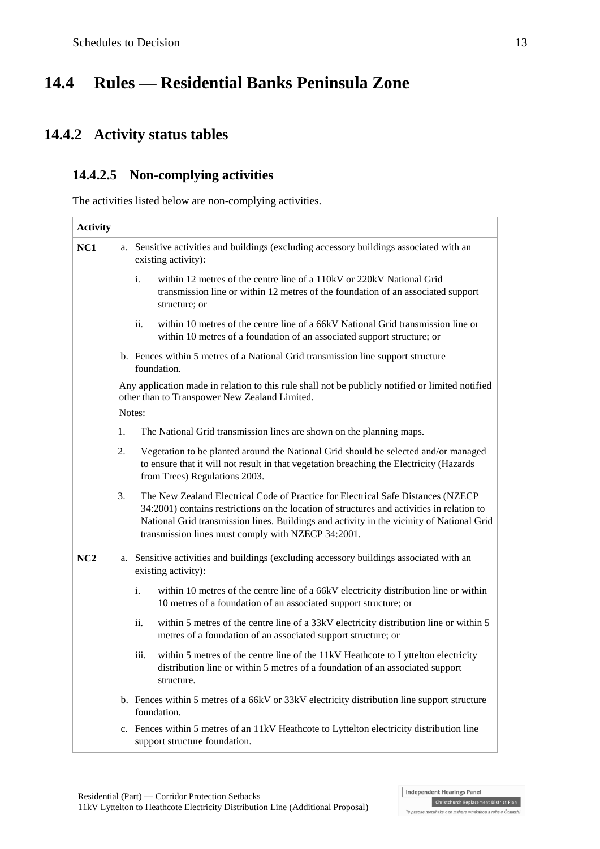# **14.4 Rules — Residential Banks Peninsula Zone**

# **14.4.2 Activity status tables**

### **14.4.2.5 Non-complying activities**

The activities listed below are non-complying activities.

| <b>Activity</b> |    |                                                                                                                                                                                                                                                                                                                                    |
|-----------------|----|------------------------------------------------------------------------------------------------------------------------------------------------------------------------------------------------------------------------------------------------------------------------------------------------------------------------------------|
| NC1             |    | a. Sensitive activities and buildings (excluding accessory buildings associated with an<br>existing activity):                                                                                                                                                                                                                     |
|                 |    | $\mathbf{i}$ .<br>within 12 metres of the centre line of a 110kV or 220kV National Grid<br>transmission line or within 12 metres of the foundation of an associated support<br>structure; or                                                                                                                                       |
|                 |    | within 10 metres of the centre line of a 66kV National Grid transmission line or<br>ii.<br>within 10 metres of a foundation of an associated support structure; or                                                                                                                                                                 |
|                 |    | b. Fences within 5 metres of a National Grid transmission line support structure<br>foundation.                                                                                                                                                                                                                                    |
|                 |    | Any application made in relation to this rule shall not be publicly notified or limited notified<br>other than to Transpower New Zealand Limited.<br>Notes:                                                                                                                                                                        |
|                 |    |                                                                                                                                                                                                                                                                                                                                    |
|                 | 1. | The National Grid transmission lines are shown on the planning maps.                                                                                                                                                                                                                                                               |
|                 | 2. | Vegetation to be planted around the National Grid should be selected and/or managed<br>to ensure that it will not result in that vegetation breaching the Electricity (Hazards<br>from Trees) Regulations 2003.                                                                                                                    |
|                 | 3. | The New Zealand Electrical Code of Practice for Electrical Safe Distances (NZECP)<br>34:2001) contains restrictions on the location of structures and activities in relation to<br>National Grid transmission lines. Buildings and activity in the vicinity of National Grid<br>transmission lines must comply with NZECP 34:2001. |
| NC2             |    | a. Sensitive activities and buildings (excluding accessory buildings associated with an<br>existing activity):                                                                                                                                                                                                                     |
|                 |    | i.<br>within 10 metres of the centre line of a 66kV electricity distribution line or within<br>10 metres of a foundation of an associated support structure; or                                                                                                                                                                    |
|                 |    | ii.<br>within 5 metres of the centre line of a 33kV electricity distribution line or within 5<br>metres of a foundation of an associated support structure; or                                                                                                                                                                     |
|                 |    | iii.<br>within 5 metres of the centre line of the 11kV Heathcote to Lyttelton electricity<br>distribution line or within 5 metres of a foundation of an associated support<br>structure.                                                                                                                                           |
|                 |    | b. Fences within 5 metres of a 66kV or 33kV electricity distribution line support structure<br>foundation.                                                                                                                                                                                                                         |
|                 |    | c. Fences within 5 metres of an 11kV Heathcote to Lyttelton electricity distribution line<br>support structure foundation.                                                                                                                                                                                                         |